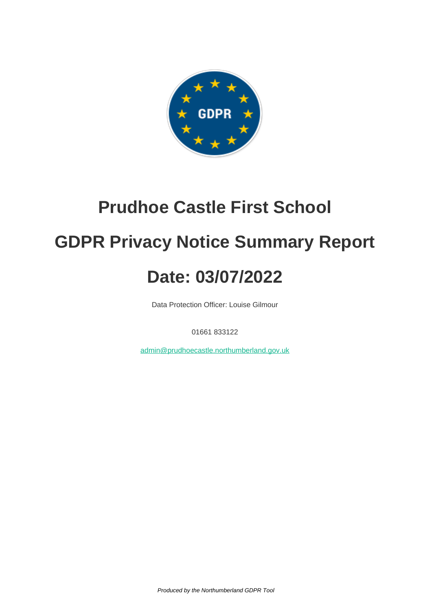

### **Prudhoe Castle First School**

## **GDPR Privacy Notice Summary Report**

# **Date: 03/07/2022**

Data Protection Officer: Louise Gilmour

01661 833122

[admin@prudhoecastle.northumberland.gov.uk](mailto:admin@prudhoecastle.northumberland.gov.uk)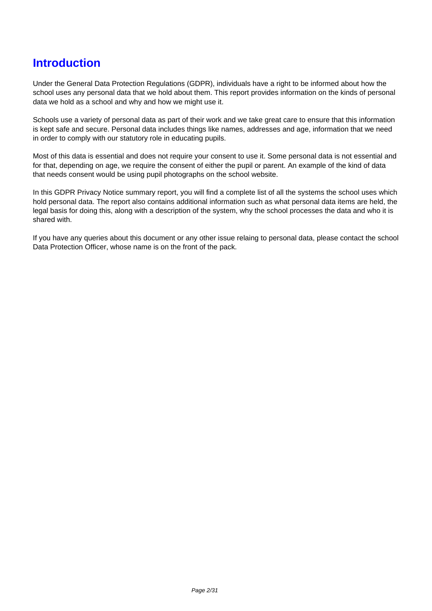#### **Introduction**

Under the General Data Protection Regulations (GDPR), individuals have a right to be informed about how the school uses any personal data that we hold about them. This report provides information on the kinds of personal data we hold as a school and why and how we might use it.

Schools use a variety of personal data as part of their work and we take great care to ensure that this information is kept safe and secure. Personal data includes things like names, addresses and age, information that we need in order to comply with our statutory role in educating pupils.

Most of this data is essential and does not require your consent to use it. Some personal data is not essential and for that, depending on age, we require the consent of either the pupil or parent. An example of the kind of data that needs consent would be using pupil photographs on the school website.

In this GDPR Privacy Notice summary report, you will find a complete list of all the systems the school uses which hold personal data. The report also contains additional information such as what personal data items are held, the legal basis for doing this, along with a description of the system, why the school processes the data and who it is shared with.

If you have any queries about this document or any other issue relaing to personal data, please contact the school Data Protection Officer, whose name is on the front of the pack.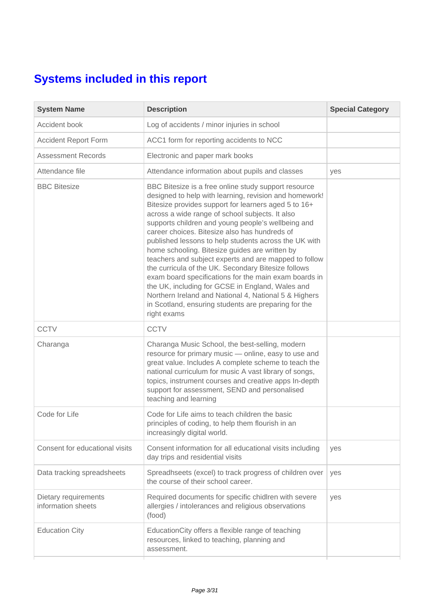#### **Systems included in this report**

| <b>System Name</b>                         | <b>Description</b>                                                                                                                                                                                                                                                                                                                                                                                                                                                                                                                                                                                                                                                                                                                                                                                       | <b>Special Category</b> |
|--------------------------------------------|----------------------------------------------------------------------------------------------------------------------------------------------------------------------------------------------------------------------------------------------------------------------------------------------------------------------------------------------------------------------------------------------------------------------------------------------------------------------------------------------------------------------------------------------------------------------------------------------------------------------------------------------------------------------------------------------------------------------------------------------------------------------------------------------------------|-------------------------|
| Accident book                              | Log of accidents / minor injuries in school                                                                                                                                                                                                                                                                                                                                                                                                                                                                                                                                                                                                                                                                                                                                                              |                         |
| <b>Accident Report Form</b>                | ACC1 form for reporting accidents to NCC                                                                                                                                                                                                                                                                                                                                                                                                                                                                                                                                                                                                                                                                                                                                                                 |                         |
| <b>Assessment Records</b>                  | Electronic and paper mark books                                                                                                                                                                                                                                                                                                                                                                                                                                                                                                                                                                                                                                                                                                                                                                          |                         |
| Attendance file                            | Attendance information about pupils and classes                                                                                                                                                                                                                                                                                                                                                                                                                                                                                                                                                                                                                                                                                                                                                          | yes                     |
| <b>BBC Bitesize</b>                        | BBC Bitesize is a free online study support resource<br>designed to help with learning, revision and homework!<br>Bitesize provides support for learners aged 5 to 16+<br>across a wide range of school subjects. It also<br>supports children and young people's wellbeing and<br>career choices. Bitesize also has hundreds of<br>published lessons to help students across the UK with<br>home schooling. Bitesize guides are written by<br>teachers and subject experts and are mapped to follow<br>the curricula of the UK. Secondary Bitesize follows<br>exam board specifications for the main exam boards in<br>the UK, including for GCSE in England, Wales and<br>Northern Ireland and National 4, National 5 & Highers<br>in Scotland, ensuring students are preparing for the<br>right exams |                         |
| <b>CCTV</b>                                | <b>CCTV</b>                                                                                                                                                                                                                                                                                                                                                                                                                                                                                                                                                                                                                                                                                                                                                                                              |                         |
| Charanga                                   | Charanga Music School, the best-selling, modern<br>resource for primary music - online, easy to use and<br>great value. Includes A complete scheme to teach the<br>national curriculum for music A vast library of songs,<br>topics, instrument courses and creative apps In-depth<br>support for assessment, SEND and personalised<br>teaching and learning                                                                                                                                                                                                                                                                                                                                                                                                                                             |                         |
| Code for Life                              | Code for Life aims to teach children the basic<br>principles of coding, to help them flourish in an<br>increasingly digital world.                                                                                                                                                                                                                                                                                                                                                                                                                                                                                                                                                                                                                                                                       |                         |
| Consent for educational visits             | Consent information for all educational visits including<br>day trips and residential visits                                                                                                                                                                                                                                                                                                                                                                                                                                                                                                                                                                                                                                                                                                             | yes                     |
| Data tracking spreadsheets                 | Spreadhseets (excel) to track progress of children over<br>the course of their school career.                                                                                                                                                                                                                                                                                                                                                                                                                                                                                                                                                                                                                                                                                                            | yes                     |
| Dietary requirements<br>information sheets | Required documents for specific chidlren with severe<br>allergies / intolerances and religious observations<br>(food)                                                                                                                                                                                                                                                                                                                                                                                                                                                                                                                                                                                                                                                                                    | yes                     |
| <b>Education City</b>                      | EducationCity offers a flexible range of teaching<br>resources, linked to teaching, planning and<br>assessment.                                                                                                                                                                                                                                                                                                                                                                                                                                                                                                                                                                                                                                                                                          |                         |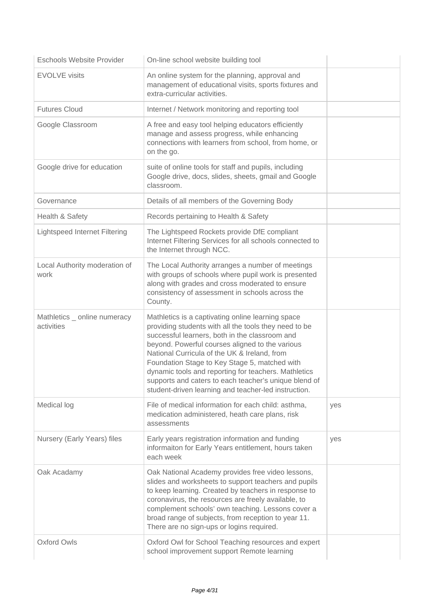| <b>Eschools Website Provider</b>           | On-line school website building tool                                                                                                                                                                                                                                                                                                                                                                                                                                                      |     |
|--------------------------------------------|-------------------------------------------------------------------------------------------------------------------------------------------------------------------------------------------------------------------------------------------------------------------------------------------------------------------------------------------------------------------------------------------------------------------------------------------------------------------------------------------|-----|
| <b>EVOLVE visits</b>                       | An online system for the planning, approval and<br>management of educational visits, sports fixtures and<br>extra-curricular activities.                                                                                                                                                                                                                                                                                                                                                  |     |
| <b>Futures Cloud</b>                       | Internet / Network monitoring and reporting tool                                                                                                                                                                                                                                                                                                                                                                                                                                          |     |
| Google Classroom                           | A free and easy tool helping educators efficiently<br>manage and assess progress, while enhancing<br>connections with learners from school, from home, or<br>on the go.                                                                                                                                                                                                                                                                                                                   |     |
| Google drive for education                 | suite of online tools for staff and pupils, including<br>Google drive, docs, slides, sheets, gmail and Google<br>classroom.                                                                                                                                                                                                                                                                                                                                                               |     |
| Governance                                 | Details of all members of the Governing Body                                                                                                                                                                                                                                                                                                                                                                                                                                              |     |
| Health & Safety                            | Records pertaining to Health & Safety                                                                                                                                                                                                                                                                                                                                                                                                                                                     |     |
| <b>Lightspeed Internet Filtering</b>       | The Lightspeed Rockets provide DfE compliant<br>Internet Filtering Services for all schools connected to<br>the Internet through NCC.                                                                                                                                                                                                                                                                                                                                                     |     |
| Local Authority moderation of<br>work      | The Local Authority arranges a number of meetings<br>with groups of schools where pupil work is presented<br>along with grades and cross moderated to ensure<br>consistency of assessment in schools across the<br>County.                                                                                                                                                                                                                                                                |     |
| Mathletics _ online numeracy<br>activities | Mathletics is a captivating online learning space<br>providing students with all the tools they need to be<br>successful learners, both in the classroom and<br>beyond. Powerful courses aligned to the various<br>National Curricula of the UK & Ireland, from<br>Foundation Stage to Key Stage 5, matched with<br>dynamic tools and reporting for teachers. Mathletics<br>supports and caters to each teacher's unique blend of<br>student-driven learning and teacher-led instruction. |     |
| Medical log                                | File of medical information for each child: asthma,<br>medication administered, heath care plans, risk<br>assessments                                                                                                                                                                                                                                                                                                                                                                     | yes |
| Nursery (Early Years) files                | Early years registration information and funding<br>informaiton for Early Years entitlement, hours taken<br>each week                                                                                                                                                                                                                                                                                                                                                                     | yes |
| Oak Acadamy                                | Oak National Academy provides free video lessons,<br>slides and worksheets to support teachers and pupils<br>to keep learning. Created by teachers in response to<br>coronavirus, the resources are freely available, to<br>complement schools' own teaching. Lessons cover a<br>broad range of subjects, from reception to year 11.<br>There are no sign-ups or logins required.                                                                                                         |     |
| <b>Oxford Owls</b>                         | Oxford Owl for School Teaching resources and expert<br>school improvement support Remote learning                                                                                                                                                                                                                                                                                                                                                                                         |     |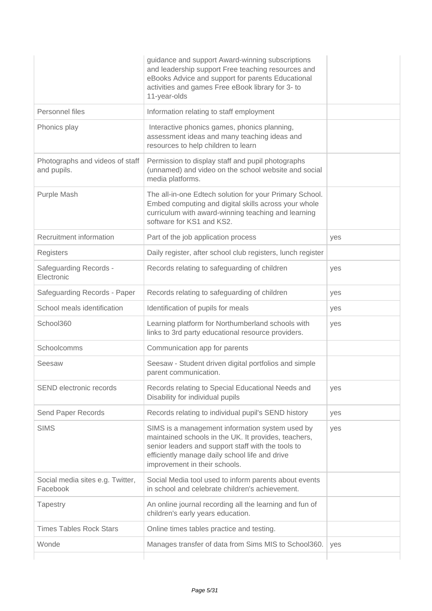|                                                | guidance and support Award-winning subscriptions<br>and leadership support Free teaching resources and<br>eBooks Advice and support for parents Educational<br>activities and games Free eBook library for 3- to<br>11-year-olds                 |     |
|------------------------------------------------|--------------------------------------------------------------------------------------------------------------------------------------------------------------------------------------------------------------------------------------------------|-----|
| Personnel files                                | Information relating to staff employment                                                                                                                                                                                                         |     |
| Phonics play                                   | Interactive phonics games, phonics planning,<br>assessment ideas and many teaching ideas and<br>resources to help children to learn                                                                                                              |     |
| Photographs and videos of staff<br>and pupils. | Permission to display staff and pupil photographs<br>(unnamed) and video on the school website and social<br>media platforms.                                                                                                                    |     |
| Purple Mash                                    | The all-in-one Edtech solution for your Primary School.<br>Embed computing and digital skills across your whole<br>curriculum with award-winning teaching and learning<br>software for KS1 and KS2.                                              |     |
| Recruitment information                        | Part of the job application process                                                                                                                                                                                                              | yes |
| Registers                                      | Daily register, after school club registers, lunch register                                                                                                                                                                                      |     |
| <b>Safeguarding Records -</b><br>Electronic    | Records relating to safeguarding of children                                                                                                                                                                                                     | yes |
| Safeguarding Records - Paper                   | Records relating to safeguarding of children                                                                                                                                                                                                     | yes |
| School meals identification                    | Identification of pupils for meals                                                                                                                                                                                                               | yes |
| School360                                      | Learning platform for Northumberland schools with<br>links to 3rd party educational resource providers.                                                                                                                                          | yes |
| Schoolcomms                                    | Communication app for parents                                                                                                                                                                                                                    |     |
| Seesaw                                         | Seesaw - Student driven digital portfolios and simple<br>parent communication.                                                                                                                                                                   |     |
| SEND electronic records                        | Records relating to Special Educational Needs and<br>Disability for individual pupils                                                                                                                                                            | yes |
| Send Paper Records                             | Records relating to individual pupil's SEND history                                                                                                                                                                                              | yes |
| <b>SIMS</b>                                    | SIMS is a management information system used by<br>maintained schools in the UK. It provides, teachers,<br>senior leaders and support staff with the tools to<br>efficiently manage daily school life and drive<br>improvement in their schools. | yes |
| Social media sites e.g. Twitter,<br>Facebook   | Social Media tool used to inform parents about events<br>in school and celebrate children's achievement.                                                                                                                                         |     |
| Tapestry                                       | An online journal recording all the learning and fun of<br>children's early years education.                                                                                                                                                     |     |
| <b>Times Tables Rock Stars</b>                 | Online times tables practice and testing.                                                                                                                                                                                                        |     |
| Wonde                                          | Manages transfer of data from Sims MIS to School360.                                                                                                                                                                                             | yes |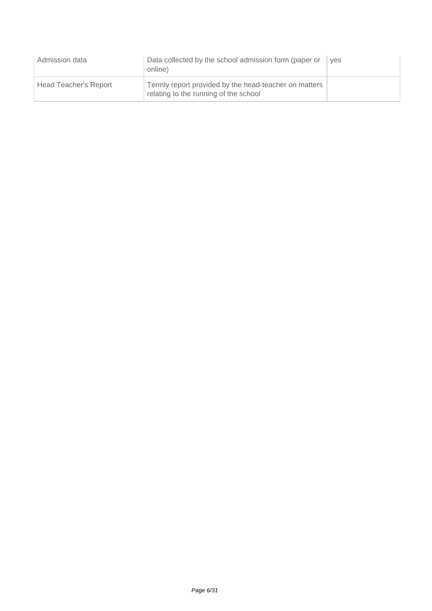| Admission data        | Data collected by the school admission form (paper or<br>online)                               | ves |
|-----------------------|------------------------------------------------------------------------------------------------|-----|
| Head Teacher's Report | Termly report provided by the head-teacher on matters<br>relating to the running of the school |     |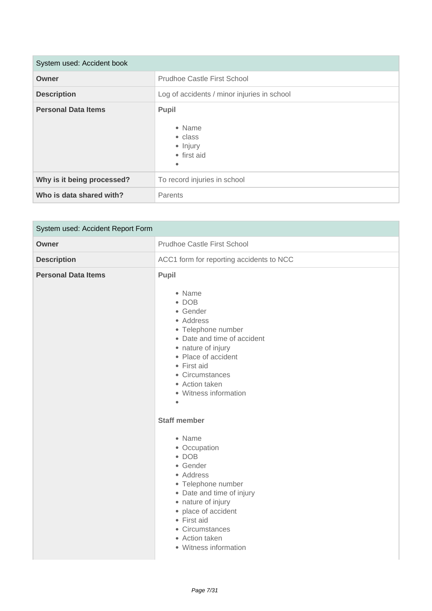| System used: Accident book |                                                            |
|----------------------------|------------------------------------------------------------|
| Owner                      | Prudhoe Castle First School                                |
| <b>Description</b>         | Log of accidents / minor injuries in school                |
| <b>Personal Data Items</b> | Pupil<br>• Name<br>• class<br>• Injury<br>• first aid<br>۰ |
| Why is it being processed? | To record injuries in school                               |
| Who is data shared with?   | Parents                                                    |

| System used: Accident Report Form |                                                                                                                                                                                                                                                                      |
|-----------------------------------|----------------------------------------------------------------------------------------------------------------------------------------------------------------------------------------------------------------------------------------------------------------------|
| Owner                             | <b>Prudhoe Castle First School</b>                                                                                                                                                                                                                                   |
| <b>Description</b>                | ACC1 form for reporting accidents to NCC                                                                                                                                                                                                                             |
| <b>Personal Data Items</b>        | Pupil<br>• Name<br>$\bullet$ DOB<br>• Gender<br>• Address<br>• Telephone number<br>• Date and time of accident<br>• nature of injury<br>• Place of accident<br>• First aid<br>• Circumstances<br>• Action taken<br>• Witness information<br>$\bullet$                |
|                                   | <b>Staff member</b><br>• Name<br>• Occupation<br>$\bullet$ DOB<br>• Gender<br>• Address<br>• Telephone number<br>• Date and time of injury<br>• nature of injury<br>• place of accident<br>• First aid<br>• Circumstances<br>• Action taken<br>• Witness information |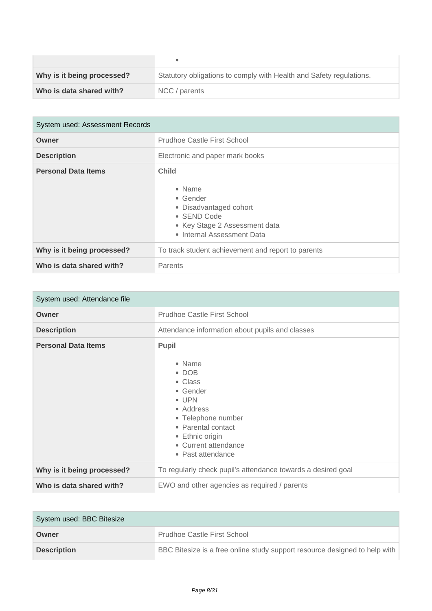| Why is it being processed? | Statutory obligations to comply with Health and Safety regulations. |
|----------------------------|---------------------------------------------------------------------|
| Who is data shared with?   | NCC / parents                                                       |

| System used: Assessment Records |                                                                                                                                                    |  |
|---------------------------------|----------------------------------------------------------------------------------------------------------------------------------------------------|--|
| Owner                           | Prudhoe Castle First School                                                                                                                        |  |
| <b>Description</b>              | Electronic and paper mark books                                                                                                                    |  |
| <b>Personal Data Items</b>      | <b>Child</b><br>$\bullet$ Name<br>• Gender<br>• Disadvantaged cohort<br>• SEND Code<br>• Key Stage 2 Assessment data<br>• Internal Assessment Data |  |
| Why is it being processed?      | To track student achievement and report to parents                                                                                                 |  |
| Who is data shared with?        | Parents                                                                                                                                            |  |

| System used: Attendance file |                                                                                                                                                                                                  |
|------------------------------|--------------------------------------------------------------------------------------------------------------------------------------------------------------------------------------------------|
| Owner                        | Prudhoe Castle First School                                                                                                                                                                      |
| <b>Description</b>           | Attendance information about pupils and classes                                                                                                                                                  |
| <b>Personal Data Items</b>   | <b>Pupil</b><br>• Name<br>$\bullet$ DOB<br>• Class<br>• Gender<br>• UPN<br>• Address<br>• Telephone number<br>• Parental contact<br>• Ethnic origin<br>• Current attendance<br>• Past attendance |
| Why is it being processed?   | To regularly check pupil's attendance towards a desired goal                                                                                                                                     |
| Who is data shared with?     | EWO and other agencies as required / parents                                                                                                                                                     |

| System used: BBC Bitesize |                                                                            |  |
|---------------------------|----------------------------------------------------------------------------|--|
| Owner                     | <b>Prudhoe Castle First School</b>                                         |  |
| <b>Description</b>        | BBC Bitesize is a free online study support resource designed to help with |  |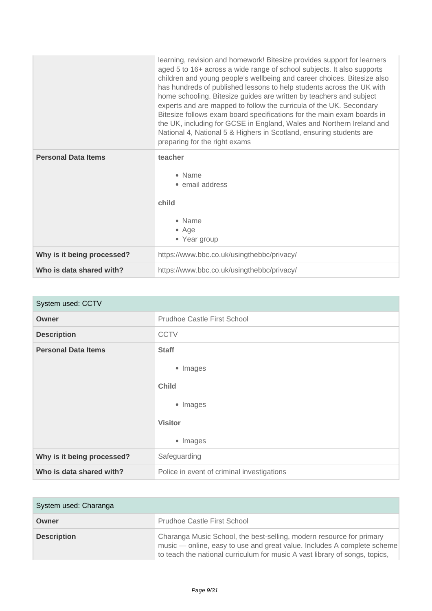|                            | learning, revision and homework! Bitesize provides support for learners<br>aged 5 to 16+ across a wide range of school subjects. It also supports<br>children and young people's wellbeing and career choices. Bitesize also<br>has hundreds of published lessons to help students across the UK with<br>home schooling. Bitesize guides are written by teachers and subject<br>experts and are mapped to follow the curricula of the UK. Secondary<br>Bitesize follows exam board specifications for the main exam boards in<br>the UK, including for GCSE in England, Wales and Northern Ireland and<br>National 4, National 5 & Highers in Scotland, ensuring students are<br>preparing for the right exams |
|----------------------------|----------------------------------------------------------------------------------------------------------------------------------------------------------------------------------------------------------------------------------------------------------------------------------------------------------------------------------------------------------------------------------------------------------------------------------------------------------------------------------------------------------------------------------------------------------------------------------------------------------------------------------------------------------------------------------------------------------------|
| <b>Personal Data Items</b> | teacher<br>• Name<br>• email address<br>child<br>• Name<br>$•$ Age<br>• Year group                                                                                                                                                                                                                                                                                                                                                                                                                                                                                                                                                                                                                             |
| Why is it being processed? | https://www.bbc.co.uk/usingthebbc/privacy/                                                                                                                                                                                                                                                                                                                                                                                                                                                                                                                                                                                                                                                                     |
| Who is data shared with?   | https://www.bbc.co.uk/usingthebbc/privacy/                                                                                                                                                                                                                                                                                                                                                                                                                                                                                                                                                                                                                                                                     |

| System used: CCTV          |                                            |
|----------------------------|--------------------------------------------|
| <b>Owner</b>               | <b>Prudhoe Castle First School</b>         |
| <b>Description</b>         | <b>CCTV</b>                                |
| <b>Personal Data Items</b> | <b>Staff</b><br>• Images                   |
|                            | <b>Child</b>                               |
|                            | • Images                                   |
|                            | <b>Visitor</b>                             |
|                            | • Images                                   |
| Why is it being processed? | Safeguarding                               |
| Who is data shared with?   | Police in event of criminal investigations |

| System used: Charanga |                                                                                                                                                                                                                                |
|-----------------------|--------------------------------------------------------------------------------------------------------------------------------------------------------------------------------------------------------------------------------|
| Owner                 | <b>Prudhoe Castle First School</b>                                                                                                                                                                                             |
| <b>Description</b>    | Charanga Music School, the best-selling, modern resource for primary<br>music — online, easy to use and great value. Includes A complete scheme<br>to teach the national curriculum for music A vast library of songs, topics, |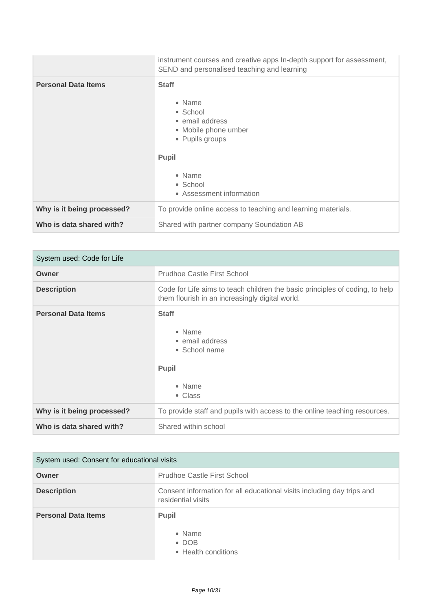|                            | instrument courses and creative apps In-depth support for assessment,<br>SEND and personalised teaching and learning                                               |
|----------------------------|--------------------------------------------------------------------------------------------------------------------------------------------------------------------|
| <b>Personal Data Items</b> | <b>Staff</b><br>• Name<br>• School<br>• email address<br>• Mobile phone umber<br>• Pupils groups<br><b>Pupil</b><br>• Name<br>• School<br>• Assessment information |
| Why is it being processed? | To provide online access to teaching and learning materials.                                                                                                       |
| Who is data shared with?   | Shared with partner company Soundation AB                                                                                                                          |

| System used: Code for Life |                                                                                                                                 |
|----------------------------|---------------------------------------------------------------------------------------------------------------------------------|
| Owner                      | <b>Prudhoe Castle First School</b>                                                                                              |
| <b>Description</b>         | Code for Life aims to teach children the basic principles of coding, to help<br>them flourish in an increasingly digital world. |
| <b>Personal Data Items</b> | <b>Staff</b><br>• Name<br>• email address<br>• School name<br><b>Pupil</b><br>• Name<br>• Class                                 |
| Why is it being processed? | To provide staff and pupils with access to the online teaching resources.                                                       |
| Who is data shared with?   | Shared within school                                                                                                            |

| System used: Consent for educational visits |                                                                                              |
|---------------------------------------------|----------------------------------------------------------------------------------------------|
| Owner                                       | <b>Prudhoe Castle First School</b>                                                           |
| <b>Description</b>                          | Consent information for all educational visits including day trips and<br>residential visits |
| <b>Personal Data Items</b>                  | Pupil<br>$\bullet$ Name<br>$\bullet$ DOB<br>• Health conditions                              |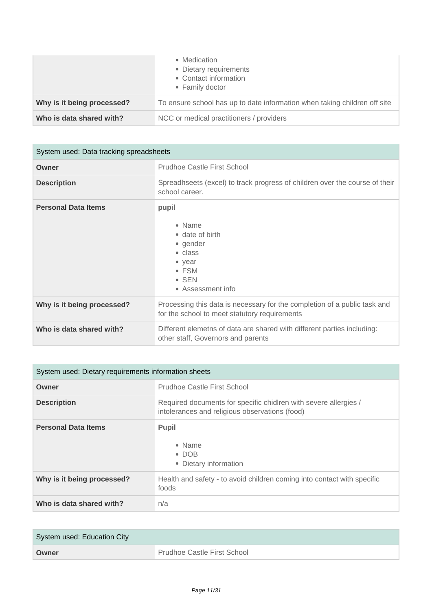|                            | • Medication<br>• Dietary requirements<br>• Contact information<br>• Family doctor |
|----------------------------|------------------------------------------------------------------------------------|
| Why is it being processed? | To ensure school has up to date information when taking children off site          |
| Who is data shared with?   | NCC or medical practitioners / providers                                           |

| System used: Data tracking spreadsheets |                                                                                                                                    |
|-----------------------------------------|------------------------------------------------------------------------------------------------------------------------------------|
| Owner                                   | Prudhoe Castle First School                                                                                                        |
| <b>Description</b>                      | Spreadhseets (excel) to track progress of children over the course of their<br>school career.                                      |
| <b>Personal Data Items</b>              | pupil<br>• Name<br>• date of birth<br>• gender<br>$\bullet$ class<br>• year<br>$\bullet$ FSM<br>$\bullet$ SEN<br>• Assessment info |
| Why is it being processed?              | Processing this data is necessary for the completion of a public task and<br>for the school to meet statutory requirements         |
| Who is data shared with?                | Different elemetns of data are shared with different parties including:<br>other staff, Governors and parents                      |

| System used: Dietary requirements information sheets |                                                                                                                    |
|------------------------------------------------------|--------------------------------------------------------------------------------------------------------------------|
| Owner                                                | Prudhoe Castle First School                                                                                        |
| <b>Description</b>                                   | Required documents for specific chidlren with severe allergies /<br>intolerances and religious observations (food) |
| <b>Personal Data Items</b>                           | <b>Pupil</b><br>• Name<br>$\bullet$ DOB<br>• Dietary information                                                   |
| Why is it being processed?                           | Health and safety - to avoid children coming into contact with specific<br>foods                                   |
| Who is data shared with?                             | n/a                                                                                                                |

| System used: Education City |                                          |
|-----------------------------|------------------------------------------|
| Owner                       | <sup>1</sup> Prudhoe Castle First School |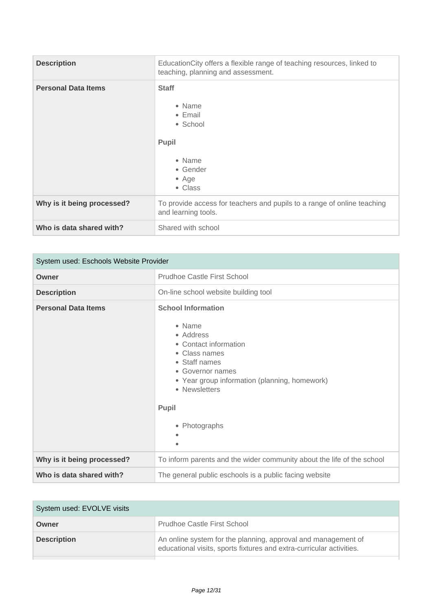| <b>Description</b>         | EducationCity offers a flexible range of teaching resources, linked to<br>teaching, planning and assessment.     |
|----------------------------|------------------------------------------------------------------------------------------------------------------|
| <b>Personal Data Items</b> | <b>Staff</b><br>• Name<br>$\bullet$ Email<br>• School<br>Pupil<br>• Name<br>• Gender<br>$\bullet$ Age<br>• Class |
| Why is it being processed? | To provide access for teachers and pupils to a range of online teaching<br>and learning tools.                   |
| Who is data shared with?   | Shared with school                                                                                               |

| System used: Eschools Website Provider |                                                                                                                                                                                                                                    |
|----------------------------------------|------------------------------------------------------------------------------------------------------------------------------------------------------------------------------------------------------------------------------------|
| Owner                                  | <b>Prudhoe Castle First School</b>                                                                                                                                                                                                 |
| <b>Description</b>                     | On-line school website building tool                                                                                                                                                                                               |
| <b>Personal Data Items</b>             | <b>School Information</b><br>• Name<br>• Address<br>• Contact information<br>• Class names<br>• Staff names<br>• Governor names<br>• Year group information (planning, homework)<br>• Newsletters<br><b>Pupil</b><br>• Photographs |
| Why is it being processed?             | To inform parents and the wider community about the life of the school                                                                                                                                                             |
| Who is data shared with?               | The general public eschools is a public facing website                                                                                                                                                                             |

| System used: EVOLVE visits |                                                                                                                                       |
|----------------------------|---------------------------------------------------------------------------------------------------------------------------------------|
| Owner                      | Prudhoe Castle First School                                                                                                           |
| <b>Description</b>         | An online system for the planning, approval and management of<br>educational visits, sports fixtures and extra-curricular activities. |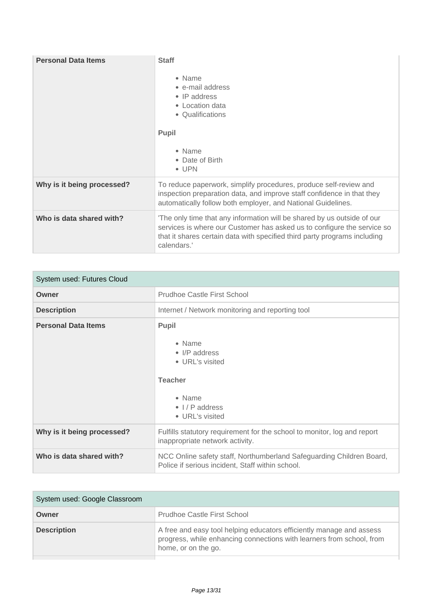| <b>Personal Data Items</b> | <b>Staff</b><br>• Name<br>• e-mail address<br>$\bullet$ IP address<br>• Location data<br>• Qualifications<br><b>Pupil</b><br>• Name<br>• Date of Birth<br>$\bullet$ UPN                                                                        |
|----------------------------|------------------------------------------------------------------------------------------------------------------------------------------------------------------------------------------------------------------------------------------------|
| Why is it being processed? | To reduce paperwork, simplify procedures, produce self-review and<br>inspection preparation data, and improve staff confidence in that they<br>automatically follow both employer, and National Guidelines.                                    |
| Who is data shared with?   | 'The only time that any information will be shared by us outside of our<br>services is where our Customer has asked us to configure the service so<br>that it shares certain data with specified third party programs including<br>calendars.' |

| System used: Futures Cloud |                                                                                                                              |
|----------------------------|------------------------------------------------------------------------------------------------------------------------------|
| Owner                      | Prudhoe Castle First School                                                                                                  |
| <b>Description</b>         | Internet / Network monitoring and reporting tool                                                                             |
| <b>Personal Data Items</b> | <b>Pupil</b><br>• Name<br>• I/P address<br>• URL's visited<br><b>Teacher</b><br>• Name<br>• I / P address<br>• URL's visited |
| Why is it being processed? | Fulfills statutory requirement for the school to monitor, log and report<br>inappropriate network activity.                  |
| Who is data shared with?   | NCC Online safety staff, Northumberland Safeguarding Children Board,<br>Police if serious incident, Staff within school.     |

| System used: Google Classroom |                                                                                                                                                                      |
|-------------------------------|----------------------------------------------------------------------------------------------------------------------------------------------------------------------|
| Owner                         | Prudhoe Castle First School                                                                                                                                          |
| <b>Description</b>            | A free and easy tool helping educators efficiently manage and assess<br>progress, while enhancing connections with learners from school, from<br>home, or on the go. |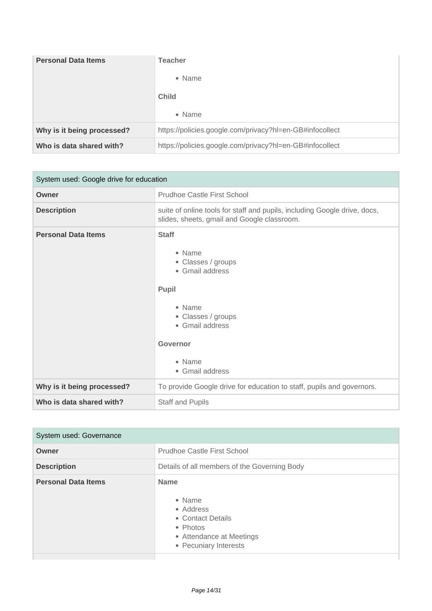| <b>Personal Data Items</b> | <b>Teacher</b>                                           |
|----------------------------|----------------------------------------------------------|
|                            | • Name                                                   |
|                            | <b>Child</b>                                             |
|                            | • Name                                                   |
| Why is it being processed? | https://policies.google.com/privacy?hl=en-GB#infocollect |
| Who is data shared with?   | https://policies.google.com/privacy?hl=en-GB#infocollect |

| System used: Google drive for education |                                                                                                                                                                      |
|-----------------------------------------|----------------------------------------------------------------------------------------------------------------------------------------------------------------------|
| Owner                                   | <b>Prudhoe Castle First School</b>                                                                                                                                   |
| <b>Description</b>                      | suite of online tools for staff and pupils, including Google drive, docs,<br>slides, sheets, gmail and Google classroom.                                             |
| <b>Personal Data Items</b>              | <b>Staff</b><br>• Name<br>• Classes / groups<br>• Gmail address<br>Pupil<br>• Name<br>• Classes / groups<br>• Gmail address<br>Governor<br>• Name<br>• Gmail address |
| Why is it being processed?              | To provide Google drive for education to staff, pupils and governors.                                                                                                |
| Who is data shared with?                | <b>Staff and Pupils</b>                                                                                                                                              |

| System used: Governance    |                                                                                                                          |
|----------------------------|--------------------------------------------------------------------------------------------------------------------------|
| Owner                      | Prudhoe Castle First School                                                                                              |
| <b>Description</b>         | Details of all members of the Governing Body                                                                             |
| <b>Personal Data Items</b> | <b>Name</b><br>• Name<br>• Address<br>• Contact Details<br>• Photos<br>• Attendance at Meetings<br>• Pecuniary Interests |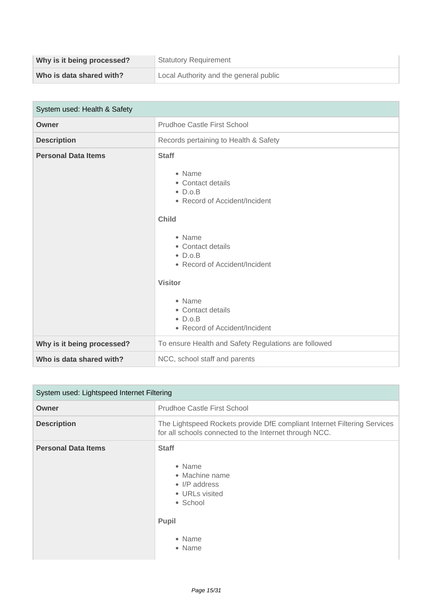| Why is it being processed? | <b>Statutory Requirement</b>           |
|----------------------------|----------------------------------------|
| Who is data shared with?   | Local Authority and the general public |

| System used: Health & Safety |                                                                                                                                                                                                                                                                                                         |
|------------------------------|---------------------------------------------------------------------------------------------------------------------------------------------------------------------------------------------------------------------------------------------------------------------------------------------------------|
| Owner                        | <b>Prudhoe Castle First School</b>                                                                                                                                                                                                                                                                      |
| <b>Description</b>           | Records pertaining to Health & Safety                                                                                                                                                                                                                                                                   |
| <b>Personal Data Items</b>   | <b>Staff</b><br>• Name<br>• Contact details<br>$\bullet$ D.o.B<br>• Record of Accident/Incident<br><b>Child</b><br>• Name<br>• Contact details<br>$\bullet$ D.o.B<br>• Record of Accident/Incident<br><b>Visitor</b><br>• Name<br>• Contact details<br>$\bullet$ D.o.B<br>• Record of Accident/Incident |
| Why is it being processed?   | To ensure Health and Safety Regulations are followed                                                                                                                                                                                                                                                    |
| Who is data shared with?     | NCC, school staff and parents                                                                                                                                                                                                                                                                           |

| System used: Lightspeed Internet Filtering |                                                                                                                                    |
|--------------------------------------------|------------------------------------------------------------------------------------------------------------------------------------|
| Owner                                      | Prudhoe Castle First School                                                                                                        |
| <b>Description</b>                         | The Lightspeed Rockets provide DfE compliant Internet Filtering Services<br>for all schools connected to the Internet through NCC. |
| <b>Personal Data Items</b>                 | <b>Staff</b><br>• Name<br>• Machine name<br>• I/P address<br>• URLs visited<br>• School<br>Pupil<br>• Name<br>• Name               |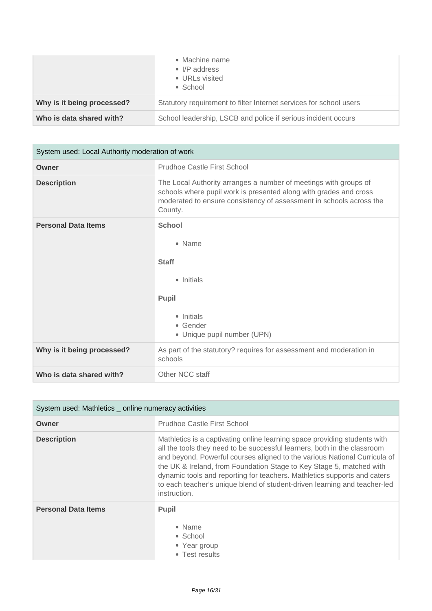|                            | • Machine name<br>• I/P address<br>• URLs visited<br>$\bullet$ School |
|----------------------------|-----------------------------------------------------------------------|
| Why is it being processed? | Statutory requirement to filter Internet services for school users    |
| Who is data shared with?   | School leadership, LSCB and police if serious incident occurs         |

| System used: Local Authority moderation of work |                                                                                                                                                                                                                         |
|-------------------------------------------------|-------------------------------------------------------------------------------------------------------------------------------------------------------------------------------------------------------------------------|
| Owner                                           | Prudhoe Castle First School                                                                                                                                                                                             |
| <b>Description</b>                              | The Local Authority arranges a number of meetings with groups of<br>schools where pupil work is presented along with grades and cross<br>moderated to ensure consistency of assessment in schools across the<br>County. |
| <b>Personal Data Items</b>                      | <b>School</b><br>• Name<br><b>Staff</b><br>• Initials<br><b>Pupil</b><br>• Initials<br>• Gender<br>• Unique pupil number (UPN)                                                                                          |
| Why is it being processed?                      | As part of the statutory? requires for assessment and moderation in<br>schools                                                                                                                                          |
| Who is data shared with?                        | Other NCC staff                                                                                                                                                                                                         |

| System used: Mathletics _ online numeracy activities |                                                                                                                                                                                                                                                                                                                                                                                                                                                                                     |
|------------------------------------------------------|-------------------------------------------------------------------------------------------------------------------------------------------------------------------------------------------------------------------------------------------------------------------------------------------------------------------------------------------------------------------------------------------------------------------------------------------------------------------------------------|
| Owner                                                | Prudhoe Castle First School                                                                                                                                                                                                                                                                                                                                                                                                                                                         |
| <b>Description</b>                                   | Mathletics is a captivating online learning space providing students with<br>all the tools they need to be successful learners, both in the classroom<br>and beyond. Powerful courses aligned to the various National Curricula of<br>the UK & Ireland, from Foundation Stage to Key Stage 5, matched with<br>dynamic tools and reporting for teachers. Mathletics supports and caters<br>to each teacher's unique blend of student-driven learning and teacher-led<br>instruction. |
| <b>Personal Data Items</b>                           | <b>Pupil</b><br>• Name<br>• School<br>• Year group<br>• Test results                                                                                                                                                                                                                                                                                                                                                                                                                |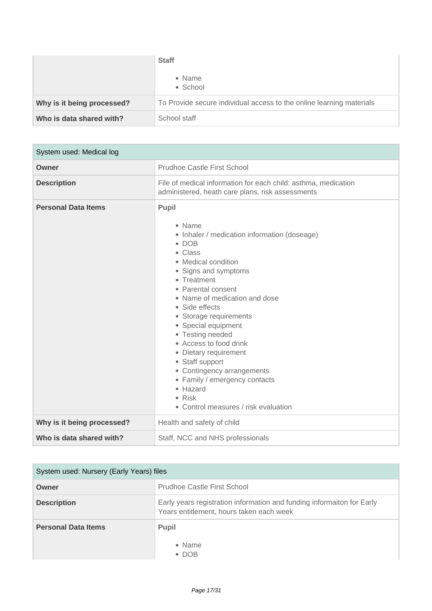|                            | <b>Staff</b>                                                         |
|----------------------------|----------------------------------------------------------------------|
|                            | • Name<br>• School                                                   |
| Why is it being processed? | To Provide secure individual access to the online learning materials |
| Who is data shared with?   | School staff                                                         |

| System used: Medical log   |                                                                                                                                                                                                                                                                                                                                                                                                                                                                                                            |
|----------------------------|------------------------------------------------------------------------------------------------------------------------------------------------------------------------------------------------------------------------------------------------------------------------------------------------------------------------------------------------------------------------------------------------------------------------------------------------------------------------------------------------------------|
| Owner                      | <b>Prudhoe Castle First School</b>                                                                                                                                                                                                                                                                                                                                                                                                                                                                         |
| <b>Description</b>         | File of medical information for each child: asthma, medication<br>administered, heath care plans, risk assessments                                                                                                                                                                                                                                                                                                                                                                                         |
| <b>Personal Data Items</b> | Pupil<br>• Name<br>• Inhaler / medication information (doseage)<br>$\bullet$ DOB<br>• Class<br>• Medical condition<br>• Signs and symptoms<br>• Treatment<br>• Parental consent<br>• Name of medication and dose<br>• Side effects<br>• Storage requirements<br>• Special equipment<br>• Testing needed<br>• Access to food drink<br>• Dietary requirement<br>• Staff support<br>• Contingency arrangements<br>• Family / emergency contacts<br>• Hazard<br>• Risk<br>• Control measures / risk evaluation |
| Why is it being processed? | Health and safety of child                                                                                                                                                                                                                                                                                                                                                                                                                                                                                 |
| Who is data shared with?   | Staff, NCC and NHS professionals                                                                                                                                                                                                                                                                                                                                                                                                                                                                           |

| System used: Nursery (Early Years) files |                                                                                                                    |
|------------------------------------------|--------------------------------------------------------------------------------------------------------------------|
| Owner                                    | Prudhoe Castle First School                                                                                        |
| <b>Description</b>                       | Early years registration information and funding informaiton for Early<br>Years entitlement, hours taken each week |
| <b>Personal Data Items</b>               | <b>Pupil</b><br>• Name<br>$\bullet$ DOB                                                                            |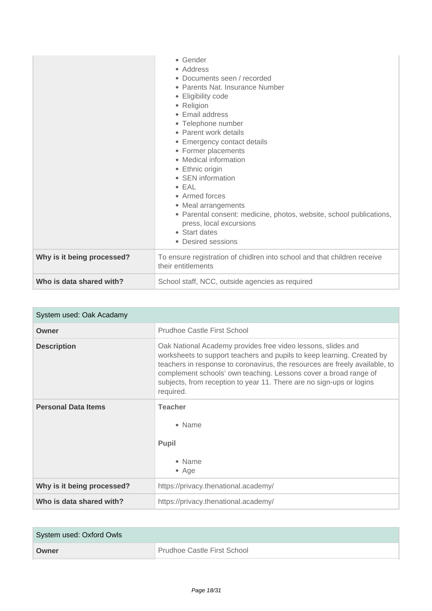|                            | • Gender<br>• Address<br>• Documents seen / recorded<br>• Parents Nat. Insurance Number<br>• Eligibility code<br>• Religion<br>• Email address<br>• Telephone number<br>• Parent work details<br>• Emergency contact details<br>• Former placements<br>• Medical information<br>• Ethnic origin<br>• SEN information<br>$\bullet$ EAL<br>• Armed forces<br>• Meal arrangements<br>• Parental consent: medicine, photos, website, school publications,<br>press, local excursions<br>• Start dates<br>• Desired sessions |
|----------------------------|-------------------------------------------------------------------------------------------------------------------------------------------------------------------------------------------------------------------------------------------------------------------------------------------------------------------------------------------------------------------------------------------------------------------------------------------------------------------------------------------------------------------------|
| Why is it being processed? | To ensure registration of chidlren into school and that children receive<br>their entitlements                                                                                                                                                                                                                                                                                                                                                                                                                          |
| Who is data shared with?   | School staff, NCC, outside agencies as required                                                                                                                                                                                                                                                                                                                                                                                                                                                                         |

| System used: Oak Acadamy   |                                                                                                                                                                                                                                                                                                                                                                                |
|----------------------------|--------------------------------------------------------------------------------------------------------------------------------------------------------------------------------------------------------------------------------------------------------------------------------------------------------------------------------------------------------------------------------|
| Owner                      | Prudhoe Castle First School                                                                                                                                                                                                                                                                                                                                                    |
| <b>Description</b>         | Oak National Academy provides free video lessons, slides and<br>worksheets to support teachers and pupils to keep learning. Created by<br>teachers in response to coronavirus, the resources are freely available, to<br>complement schools' own teaching. Lessons cover a broad range of<br>subjects, from reception to year 11. There are no sign-ups or logins<br>required. |
| <b>Personal Data Items</b> | <b>Teacher</b><br>$\bullet$ Name<br><b>Pupil</b><br>• Name<br>$\bullet$ Age                                                                                                                                                                                                                                                                                                    |
| Why is it being processed? | https://privacy.thenational.academy/                                                                                                                                                                                                                                                                                                                                           |
| Who is data shared with?   | https://privacy.thenational.academy/                                                                                                                                                                                                                                                                                                                                           |

| System used: Oxford Owls |                             |
|--------------------------|-----------------------------|
| Owner                    | Prudhoe Castle First School |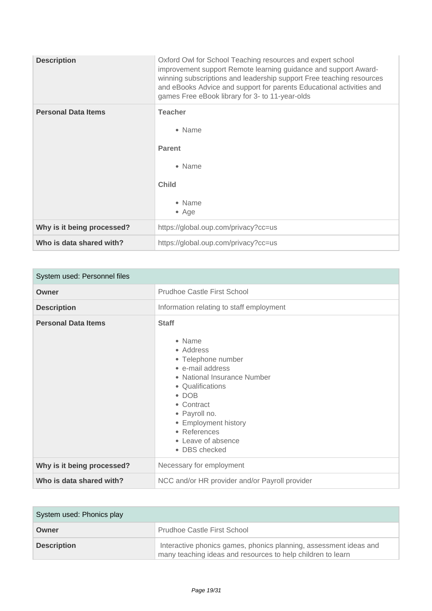| <b>Description</b>         | Oxford Owl for School Teaching resources and expert school<br>improvement support Remote learning guidance and support Award-<br>winning subscriptions and leadership support Free teaching resources<br>and eBooks Advice and support for parents Educational activities and<br>games Free eBook library for 3- to 11-year-olds |
|----------------------------|----------------------------------------------------------------------------------------------------------------------------------------------------------------------------------------------------------------------------------------------------------------------------------------------------------------------------------|
| <b>Personal Data Items</b> | <b>Teacher</b><br>• Name<br><b>Parent</b><br>• Name<br><b>Child</b><br>• Name<br>$\bullet$ Age                                                                                                                                                                                                                                   |
| Why is it being processed? | https://global.oup.com/privacy?cc=us                                                                                                                                                                                                                                                                                             |
| Who is data shared with?   | https://global.oup.com/privacy?cc=us                                                                                                                                                                                                                                                                                             |

| System used: Personnel files |                                                                                                                                                                                                                                                                 |
|------------------------------|-----------------------------------------------------------------------------------------------------------------------------------------------------------------------------------------------------------------------------------------------------------------|
| Owner                        | Prudhoe Castle First School                                                                                                                                                                                                                                     |
| <b>Description</b>           | Information relating to staff employment                                                                                                                                                                                                                        |
| <b>Personal Data Items</b>   | <b>Staff</b><br>• Name<br>• Address<br>• Telephone number<br>• e-mail address<br>• National Insurance Number<br>• Qualifications<br>$\bullet$ DOB<br>• Contract<br>• Payroll no.<br>• Employment history<br>• References<br>• Leave of absence<br>• DBS checked |
| Why is it being processed?   | Necessary for employment                                                                                                                                                                                                                                        |
| Who is data shared with?     | NCC and/or HR provider and/or Payroll provider                                                                                                                                                                                                                  |

| System used: Phonics play |                                                                                                                                  |
|---------------------------|----------------------------------------------------------------------------------------------------------------------------------|
| Owner                     | <b>Prudhoe Castle First School</b>                                                                                               |
| <b>Description</b>        | Interactive phonics games, phonics planning, assessment ideas and<br>many teaching ideas and resources to help children to learn |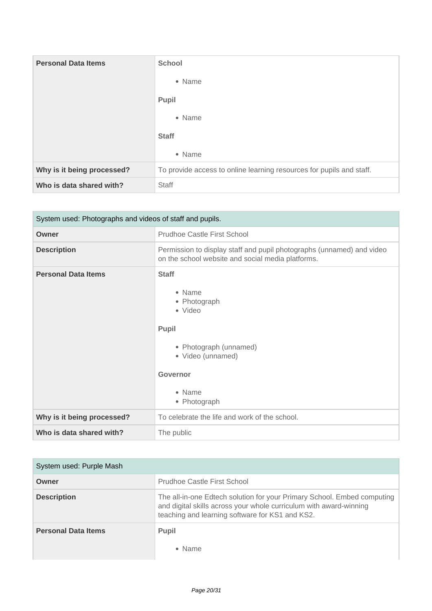| <b>Personal Data Items</b> | <b>School</b>                                                        |
|----------------------------|----------------------------------------------------------------------|
|                            | • Name                                                               |
|                            | <b>Pupil</b>                                                         |
|                            | • Name                                                               |
|                            | <b>Staff</b>                                                         |
|                            | • Name                                                               |
| Why is it being processed? | To provide access to online learning resources for pupils and staff. |
| Who is data shared with?   | Staff                                                                |

| System used: Photographs and videos of staff and pupils. |                                                                                                                                                        |
|----------------------------------------------------------|--------------------------------------------------------------------------------------------------------------------------------------------------------|
| Owner                                                    | <b>Prudhoe Castle First School</b>                                                                                                                     |
| <b>Description</b>                                       | Permission to display staff and pupil photographs (unnamed) and video<br>on the school website and social media platforms.                             |
| <b>Personal Data Items</b>                               | <b>Staff</b><br>• Name<br>• Photograph<br>• Video<br>Pupil<br>• Photograph (unnamed)<br>• Video (unnamed)<br><b>Governor</b><br>• Name<br>• Photograph |
| Why is it being processed?                               | To celebrate the life and work of the school.                                                                                                          |
| Who is data shared with?                                 | The public                                                                                                                                             |

| System used: Purple Mash   |                                                                                                                                                                                                  |
|----------------------------|--------------------------------------------------------------------------------------------------------------------------------------------------------------------------------------------------|
| Owner                      | Prudhoe Castle First School                                                                                                                                                                      |
| <b>Description</b>         | The all-in-one Edtech solution for your Primary School. Embed computing<br>and digital skills across your whole curriculum with award-winning<br>teaching and learning software for KS1 and KS2. |
| <b>Personal Data Items</b> | <b>Pupil</b><br>• Name                                                                                                                                                                           |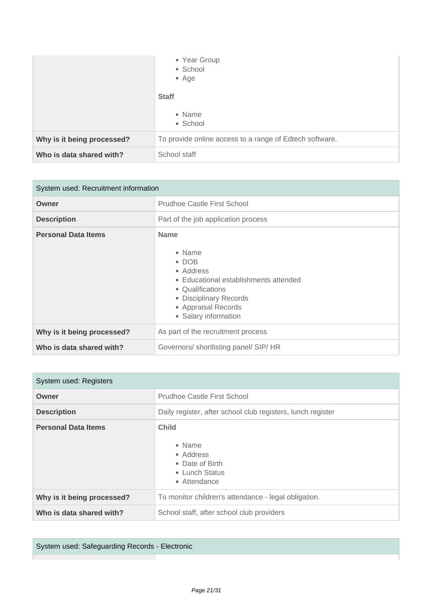|                            | • Year Group<br>• School<br>$•$ Age                     |
|----------------------------|---------------------------------------------------------|
|                            | <b>Staff</b>                                            |
|                            | • Name<br>• School                                      |
| Why is it being processed? | To provide online access to a range of Edtech software. |
| Who is data shared with?   | School staff                                            |

| System used: Recruitment information |                                                                                                                                                                                           |
|--------------------------------------|-------------------------------------------------------------------------------------------------------------------------------------------------------------------------------------------|
| Owner                                | Prudhoe Castle First School                                                                                                                                                               |
| <b>Description</b>                   | Part of the job application process                                                                                                                                                       |
| <b>Personal Data Items</b>           | <b>Name</b><br>• Name<br>$\bullet$ DOB<br>• Address<br>• Educational establishments attended<br>• Qualifications<br>• Disciplinary Records<br>• Appraisal Records<br>• Salary information |
| Why is it being processed?           | As part of the recruitment process                                                                                                                                                        |
| Who is data shared with?             | Governors/shortlisting panel/SIP/HR                                                                                                                                                       |

| System used: Registers     |                                                                                                  |
|----------------------------|--------------------------------------------------------------------------------------------------|
| Owner                      | <b>Prudhoe Castle First School</b>                                                               |
| <b>Description</b>         | Daily register, after school club registers, lunch register                                      |
| <b>Personal Data Items</b> | <b>Child</b><br>$\bullet$ Name<br>• Address<br>• Date of Birth<br>• Lunch Status<br>• Attendance |
| Why is it being processed? | To monitor children's attendance - legal obligation.                                             |
| Who is data shared with?   | School staff, after school club providers                                                        |

System used: Safeguarding Records - Electronic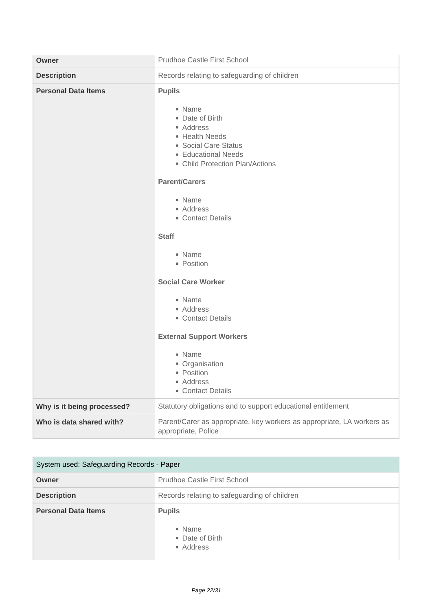| Owner                      | <b>Prudhoe Castle First School</b>                                                                                                                                                                                                                                                                                                                                                                                                                              |
|----------------------------|-----------------------------------------------------------------------------------------------------------------------------------------------------------------------------------------------------------------------------------------------------------------------------------------------------------------------------------------------------------------------------------------------------------------------------------------------------------------|
| <b>Description</b>         | Records relating to safeguarding of children                                                                                                                                                                                                                                                                                                                                                                                                                    |
| <b>Personal Data Items</b> | <b>Pupils</b><br>• Name<br>• Date of Birth<br>• Address<br>• Health Needs<br>• Social Care Status<br>• Educational Needs<br>• Child Protection Plan/Actions<br><b>Parent/Carers</b><br>• Name<br>• Address<br>• Contact Details<br><b>Staff</b><br>• Name<br>• Position<br><b>Social Care Worker</b><br>• Name<br>• Address<br>• Contact Details<br><b>External Support Workers</b><br>• Name<br>• Organisation<br>• Position<br>• Address<br>• Contact Details |
| Why is it being processed? | Statutory obligations and to support educational entitlement                                                                                                                                                                                                                                                                                                                                                                                                    |
| Who is data shared with?   | Parent/Carer as appropriate, key workers as appropriate, LA workers as<br>appropriate, Police                                                                                                                                                                                                                                                                                                                                                                   |

| System used: Safeguarding Records - Paper |                                                         |
|-------------------------------------------|---------------------------------------------------------|
| Owner                                     | Prudhoe Castle First School                             |
| <b>Description</b>                        | Records relating to safeguarding of children            |
| <b>Personal Data Items</b>                | <b>Pupils</b><br>• Name<br>• Date of Birth<br>• Address |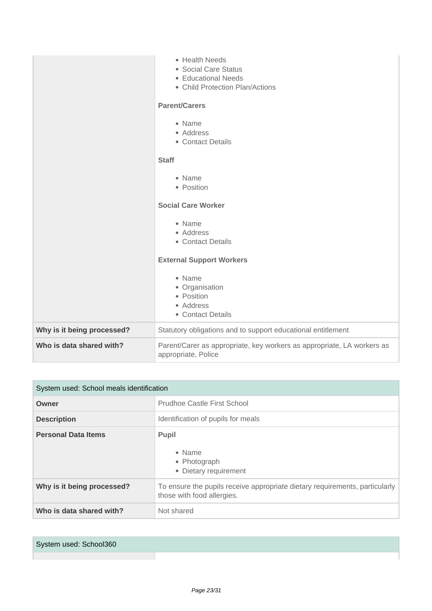|                            | • Health Needs<br>• Social Care Status<br>• Educational Needs<br>• Child Protection Plan/Actions<br><b>Parent/Carers</b><br>• Name<br>• Address<br>• Contact Details<br><b>Staff</b><br>• Name<br>• Position<br><b>Social Care Worker</b><br>• Name<br>• Address<br>• Contact Details<br><b>External Support Workers</b><br>• Name<br>• Organisation<br>• Position<br>• Address<br>• Contact Details |
|----------------------------|------------------------------------------------------------------------------------------------------------------------------------------------------------------------------------------------------------------------------------------------------------------------------------------------------------------------------------------------------------------------------------------------------|
| Why is it being processed? | Statutory obligations and to support educational entitlement                                                                                                                                                                                                                                                                                                                                         |
| Who is data shared with?   | Parent/Carer as appropriate, key workers as appropriate, LA workers as<br>appropriate, Police                                                                                                                                                                                                                                                                                                        |

| System used: School meals identification |                                                                                                           |
|------------------------------------------|-----------------------------------------------------------------------------------------------------------|
| Owner                                    | <b>Prudhoe Castle First School</b>                                                                        |
| <b>Description</b>                       | Identification of pupils for meals                                                                        |
| <b>Personal Data Items</b>               | <b>Pupil</b><br>• Name<br>• Photograph<br>• Dietary requirement                                           |
| Why is it being processed?               | To ensure the pupils receive appropriate dietary requirements, particularly<br>those with food allergies. |
| Who is data shared with?                 | Not shared                                                                                                |

| System used: School360 |  |
|------------------------|--|
|                        |  |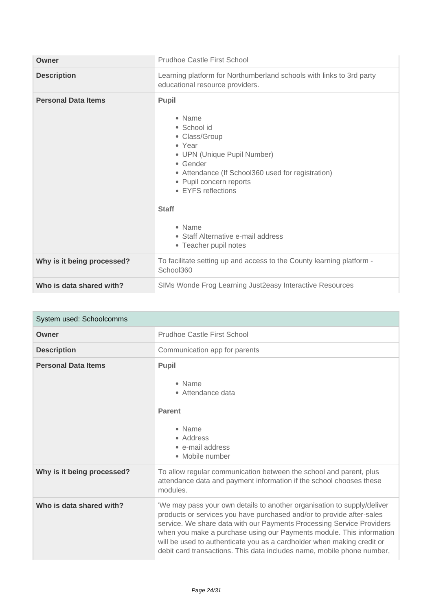| Owner                      | Prudhoe Castle First School                                                                                                                                                                                                                                                                         |
|----------------------------|-----------------------------------------------------------------------------------------------------------------------------------------------------------------------------------------------------------------------------------------------------------------------------------------------------|
| <b>Description</b>         | Learning platform for Northumberland schools with links to 3rd party<br>educational resource providers.                                                                                                                                                                                             |
| <b>Personal Data Items</b> | Pupil<br>• Name<br>• School id<br>• Class/Group<br>• Year<br>• UPN (Unique Pupil Number)<br>• Gender<br>• Attendance (If School360 used for registration)<br>• Pupil concern reports<br>• EYFS reflections<br><b>Staff</b><br>• Name<br>• Staff Alternative e-mail address<br>• Teacher pupil notes |
| Why is it being processed? | To facilitate setting up and access to the County learning platform -<br>School360                                                                                                                                                                                                                  |
| Who is data shared with?   | SIMs Wonde Frog Learning Just2easy Interactive Resources                                                                                                                                                                                                                                            |

| System used: Schoolcomms   |                                                                                                                                                                                                                                                                                                                                                                                                                                                       |
|----------------------------|-------------------------------------------------------------------------------------------------------------------------------------------------------------------------------------------------------------------------------------------------------------------------------------------------------------------------------------------------------------------------------------------------------------------------------------------------------|
| Owner                      | <b>Prudhoe Castle First School</b>                                                                                                                                                                                                                                                                                                                                                                                                                    |
| <b>Description</b>         | Communication app for parents                                                                                                                                                                                                                                                                                                                                                                                                                         |
| <b>Personal Data Items</b> | Pupil<br>• Name<br>• Attendance data<br><b>Parent</b><br>• Name<br>• Address<br>• e-mail address<br>• Mobile number                                                                                                                                                                                                                                                                                                                                   |
| Why is it being processed? | To allow regular communication between the school and parent, plus<br>attendance data and payment information if the school chooses these<br>modules.                                                                                                                                                                                                                                                                                                 |
| Who is data shared with?   | 'We may pass your own details to another organisation to supply/deliver<br>products or services you have purchased and/or to provide after-sales<br>service. We share data with our Payments Processing Service Providers<br>when you make a purchase using our Payments module. This information<br>will be used to authenticate you as a cardholder when making credit or<br>debit card transactions. This data includes name, mobile phone number, |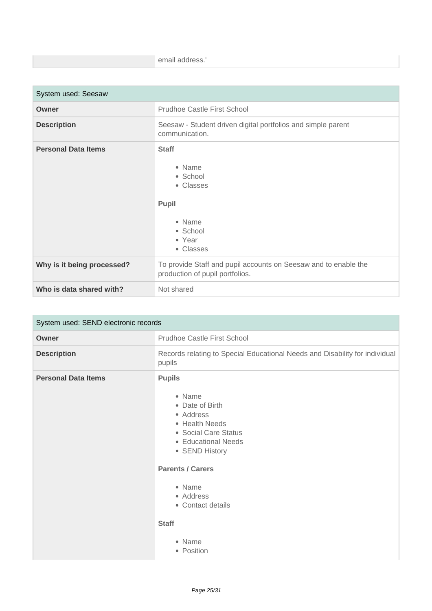| $-1$ $   -$<br>email address. |
|-------------------------------|
|                               |

| System used: Seesaw        |                                                                                                       |
|----------------------------|-------------------------------------------------------------------------------------------------------|
| Owner                      | <b>Prudhoe Castle First School</b>                                                                    |
| <b>Description</b>         | Seesaw - Student driven digital portfolios and simple parent<br>communication.                        |
| <b>Personal Data Items</b> | <b>Staff</b><br>• Name<br>• School<br>• Classes<br>Pupil<br>• Name<br>• School<br>• Year<br>• Classes |
| Why is it being processed? | To provide Staff and pupil accounts on Seesaw and to enable the<br>production of pupil portfolios.    |
| Who is data shared with?   | Not shared                                                                                            |

| System used: SEND electronic records |                                                                                                                                                                                                                   |
|--------------------------------------|-------------------------------------------------------------------------------------------------------------------------------------------------------------------------------------------------------------------|
| Owner                                | <b>Prudhoe Castle First School</b>                                                                                                                                                                                |
| <b>Description</b>                   | Records relating to Special Educational Needs and Disability for individual<br>pupils                                                                                                                             |
| <b>Personal Data Items</b>           | <b>Pupils</b><br>• Name<br>• Date of Birth<br>• Address<br>• Health Needs<br>• Social Care Status<br>• Educational Needs<br>• SEND History<br><b>Parents / Carers</b><br>• Name<br>• Address<br>• Contact details |
|                                      | <b>Staff</b><br>• Name<br>• Position                                                                                                                                                                              |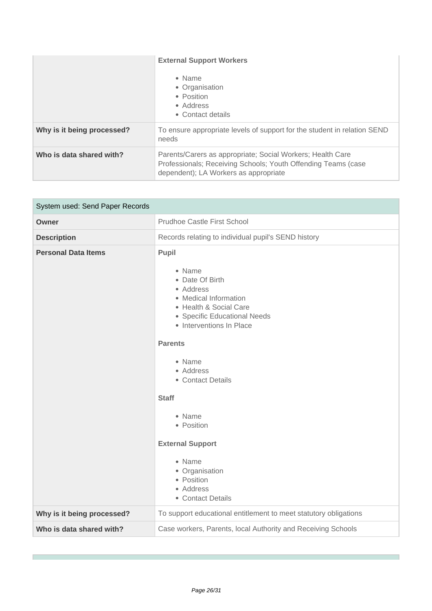|                            | <b>External Support Workers</b><br>• Name<br>• Organisation<br>• Position<br>• Address<br>• Contact details                                                          |
|----------------------------|----------------------------------------------------------------------------------------------------------------------------------------------------------------------|
| Why is it being processed? | To ensure appropriate levels of support for the student in relation SEND<br>needs                                                                                    |
| Who is data shared with?   | Parents/Carers as appropriate; Social Workers; Health Care<br>Professionals; Receiving Schools; Youth Offending Teams (case<br>dependent); LA Workers as appropriate |

| System used: Send Paper Records |                                                                                                                                                                                                                                                                                                                                                                             |
|---------------------------------|-----------------------------------------------------------------------------------------------------------------------------------------------------------------------------------------------------------------------------------------------------------------------------------------------------------------------------------------------------------------------------|
| <b>Owner</b>                    | <b>Prudhoe Castle First School</b>                                                                                                                                                                                                                                                                                                                                          |
| <b>Description</b>              | Records relating to individual pupil's SEND history                                                                                                                                                                                                                                                                                                                         |
| <b>Personal Data Items</b>      | Pupil<br>• Name<br>• Date Of Birth<br>• Address<br>• Medical Information<br>• Health & Social Care<br>• Specific Educational Needs<br>• Interventions In Place<br><b>Parents</b><br>• Name<br>• Address<br>• Contact Details<br><b>Staff</b><br>• Name<br>• Position<br><b>External Support</b><br>• Name<br>• Organisation<br>• Position<br>• Address<br>• Contact Details |
| Why is it being processed?      | To support educational entitlement to meet statutory obligations                                                                                                                                                                                                                                                                                                            |
| Who is data shared with?        | Case workers, Parents, local Authority and Receiving Schools                                                                                                                                                                                                                                                                                                                |

r.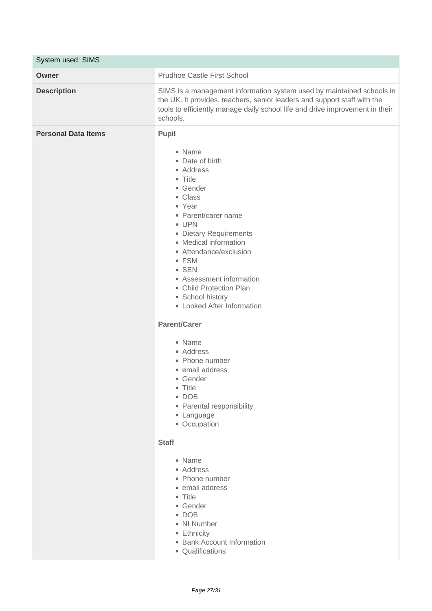|                            | System used: SIMS                                                                                                                                                                                                                                                                                                                                                                                                                                                                                                                                                                                                                                                                                                                            |  |
|----------------------------|----------------------------------------------------------------------------------------------------------------------------------------------------------------------------------------------------------------------------------------------------------------------------------------------------------------------------------------------------------------------------------------------------------------------------------------------------------------------------------------------------------------------------------------------------------------------------------------------------------------------------------------------------------------------------------------------------------------------------------------------|--|
| Owner                      | <b>Prudhoe Castle First School</b>                                                                                                                                                                                                                                                                                                                                                                                                                                                                                                                                                                                                                                                                                                           |  |
| <b>Description</b>         | SIMS is a management information system used by maintained schools in<br>the UK. It provides, teachers, senior leaders and support staff with the<br>tools to efficiently manage daily school life and drive improvement in their<br>schools.                                                                                                                                                                                                                                                                                                                                                                                                                                                                                                |  |
| <b>Personal Data Items</b> | <b>Pupil</b><br>• Name<br>• Date of birth<br>• Address<br>• Title<br>• Gender<br>• Class<br>• Year<br>• Parent/carer name<br>• UPN<br>• Dietary Requirements<br>• Medical information<br>• Attendance/exclusion<br>• FSM<br>$\bullet$ SEN<br>• Assessment information<br>• Child Protection Plan<br>• School history<br>• Looked After Information<br><b>Parent/Carer</b><br>• Name<br>• Address<br>• Phone number<br>• email address<br>• Gender<br>• Title<br>$\bullet$ DOB<br>• Parental responsibility<br>• Language<br>• Occupation<br><b>Staff</b><br>• Name<br>• Address<br>• Phone number<br>• email address<br>• Title<br>• Gender<br>$\bullet$ DOB<br>• NI Number<br>• Ethnicity<br>• Bank Account Information<br>• Qualifications |  |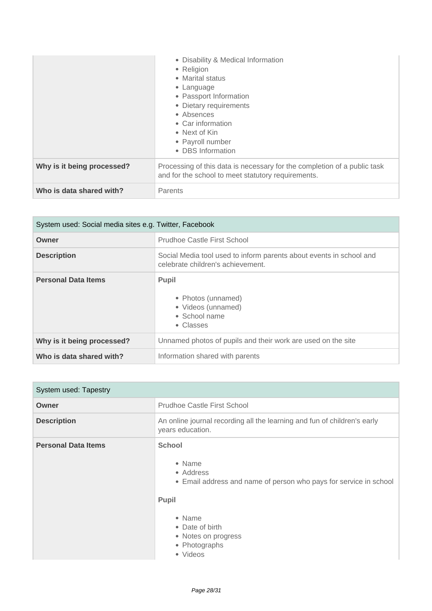|                            | • Disability & Medical Information<br>• Religion<br>• Marital status<br>• Language<br>• Passport Information<br>• Dietary requirements<br>• Absences<br>• Car information<br>• Next of Kin<br>• Payroll number<br>• DBS Information |
|----------------------------|-------------------------------------------------------------------------------------------------------------------------------------------------------------------------------------------------------------------------------------|
| Why is it being processed? | Processing of this data is necessary for the completion of a public task<br>and for the school to meet statutory requirements.                                                                                                      |
| Who is data shared with?   | Parents                                                                                                                                                                                                                             |

| System used: Social media sites e.g. Twitter, Facebook |                                                                                                          |
|--------------------------------------------------------|----------------------------------------------------------------------------------------------------------|
| Owner                                                  | Prudhoe Castle First School                                                                              |
| <b>Description</b>                                     | Social Media tool used to inform parents about events in school and<br>celebrate children's achievement. |
| <b>Personal Data Items</b>                             | <b>Pupil</b><br>• Photos (unnamed)<br>• Videos (unnamed)<br>• School name<br>• Classes                   |
| Why is it being processed?                             | Unnamed photos of pupils and their work are used on the site                                             |
| Who is data shared with?                               | Information shared with parents                                                                          |

| System used: Tapestry      |                                                                                                                                                                                                     |
|----------------------------|-----------------------------------------------------------------------------------------------------------------------------------------------------------------------------------------------------|
| Owner                      | Prudhoe Castle First School                                                                                                                                                                         |
| <b>Description</b>         | An online journal recording all the learning and fun of children's early<br>years education.                                                                                                        |
| <b>Personal Data Items</b> | <b>School</b><br>• Name<br>• Address<br>• Email address and name of person who pays for service in school<br>Pupil<br>• Name<br>• Date of birth<br>• Notes on progress<br>• Photographs<br>• Videos |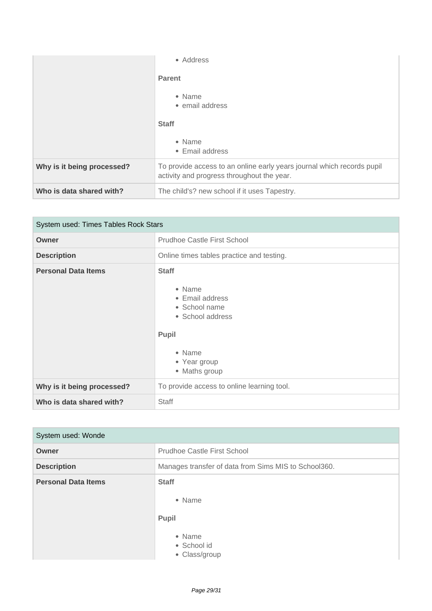|                            | • Address                                                                                                            |
|----------------------------|----------------------------------------------------------------------------------------------------------------------|
|                            | <b>Parent</b>                                                                                                        |
|                            | • Name<br>• email address                                                                                            |
|                            | <b>Staff</b>                                                                                                         |
|                            | • Name<br>• Email address                                                                                            |
| Why is it being processed? | To provide access to an online early years journal which records pupil<br>activity and progress throughout the year. |
| Who is data shared with?   | The child's? new school if it uses Tapestry.                                                                         |

| System used: Times Tables Rock Stars |                                                                                                                                    |
|--------------------------------------|------------------------------------------------------------------------------------------------------------------------------------|
| Owner                                | <b>Prudhoe Castle First School</b>                                                                                                 |
| <b>Description</b>                   | Online times tables practice and testing.                                                                                          |
| <b>Personal Data Items</b>           | <b>Staff</b><br>• Name<br>• Email address<br>• School name<br>• School address<br>Pupil<br>• Name<br>• Year group<br>• Maths group |
| Why is it being processed?           | To provide access to online learning tool.                                                                                         |
| Who is data shared with?             | Staff                                                                                                                              |

| System used: Wonde         |                                                                                  |
|----------------------------|----------------------------------------------------------------------------------|
| Owner                      | Prudhoe Castle First School                                                      |
| <b>Description</b>         | Manages transfer of data from Sims MIS to School360.                             |
| <b>Personal Data Items</b> | <b>Staff</b><br>• Name<br><b>Pupil</b><br>• Name<br>• School id<br>• Class/group |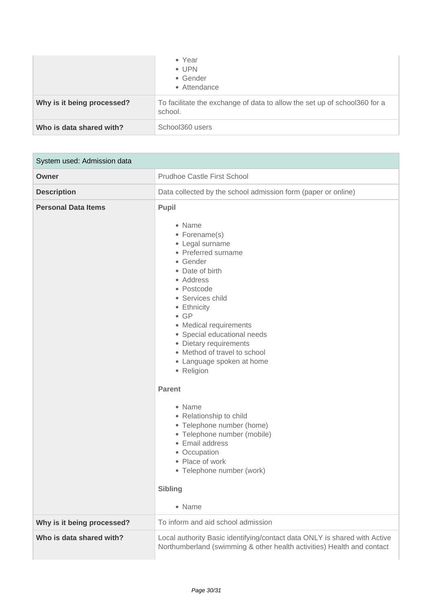|                            | $\bullet$ Year<br>$\bullet$ UPN<br>• Gender<br>• Attendance                          |
|----------------------------|--------------------------------------------------------------------------------------|
| Why is it being processed? | To facilitate the exchange of data to allow the set up of school360 for a<br>school. |
| Who is data shared with?   | School360 users                                                                      |

| System used: Admission data |                                                                                                                                                                                                                                                                                                                                                                                                                                                                                                                                                                                               |
|-----------------------------|-----------------------------------------------------------------------------------------------------------------------------------------------------------------------------------------------------------------------------------------------------------------------------------------------------------------------------------------------------------------------------------------------------------------------------------------------------------------------------------------------------------------------------------------------------------------------------------------------|
| Owner                       | <b>Prudhoe Castle First School</b>                                                                                                                                                                                                                                                                                                                                                                                                                                                                                                                                                            |
| <b>Description</b>          | Data collected by the school admission form (paper or online)                                                                                                                                                                                                                                                                                                                                                                                                                                                                                                                                 |
| <b>Personal Data Items</b>  | <b>Pupil</b><br>• Name<br>• Forename(s)<br>• Legal surname<br>• Preferred surname<br>• Gender<br>• Date of birth<br>• Address<br>• Postcode<br>• Services child<br>• Ethnicity<br>$\bullet$ GP<br>• Medical requirements<br>• Special educational needs<br>• Dietary requirements<br>• Method of travel to school<br>• Language spoken at home<br>• Religion<br><b>Parent</b><br>• Name<br>• Relationship to child<br>• Telephone number (home)<br>• Telephone number (mobile)<br>• Email address<br>• Occupation<br>• Place of work<br>• Telephone number (work)<br><b>Sibling</b><br>• Name |
| Why is it being processed?  | To inform and aid school admission                                                                                                                                                                                                                                                                                                                                                                                                                                                                                                                                                            |
| Who is data shared with?    | Local authority Basic identifying/contact data ONLY is shared with Active<br>Northumberland (swimming & other health activities) Health and contact                                                                                                                                                                                                                                                                                                                                                                                                                                           |